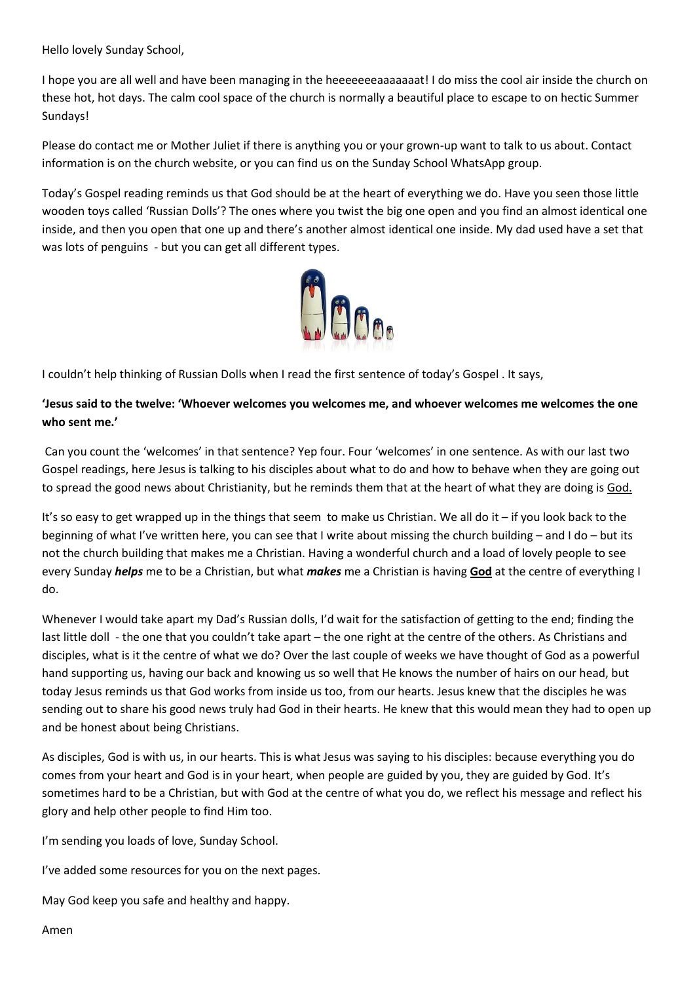Hello lovely Sunday School,

I hope you are all well and have been managing in the heeeeeeeaaaaaaat! I do miss the cool air inside the church on these hot, hot days. The calm cool space of the church is normally a beautiful place to escape to on hectic Summer Sundays!

Please do contact me or Mother Juliet if there is anything you or your grown-up want to talk to us about. Contact information is on the church website, or you can find us on the Sunday School WhatsApp group.

Today's Gospel reading reminds us that God should be at the heart of everything we do. Have you seen those little wooden toys called 'Russian Dolls'? The ones where you twist the big one open and you find an almost identical one inside, and then you open that one up and there's another almost identical one inside. My dad used have a set that was lots of penguins - but you can get all different types.



I couldn't help thinking of Russian Dolls when I read the first sentence of today's Gospel . It says,

## **'Jesus said to the twelve: 'Whoever welcomes you welcomes me, and whoever welcomes me welcomes the one who sent me.'**

Can you count the 'welcomes' in that sentence? Yep four. Four 'welcomes' in one sentence. As with our last two Gospel readings, here Jesus is talking to his disciples about what to do and how to behave when they are going out to spread the good news about Christianity, but he reminds them that at the heart of what they are doing is God.

It's so easy to get wrapped up in the things that seem to make us Christian. We all do it – if you look back to the beginning of what I've written here, you can see that I write about missing the church building – and I do – but its not the church building that makes me a Christian. Having a wonderful church and a load of lovely people to see every Sunday *helps* me to be a Christian, but what *makes* me a Christian is having **God** at the centre of everything I do.

Whenever I would take apart my Dad's Russian dolls, I'd wait for the satisfaction of getting to the end; finding the last little doll - the one that you couldn't take apart – the one right at the centre of the others. As Christians and disciples, what is it the centre of what we do? Over the last couple of weeks we have thought of God as a powerful hand supporting us, having our back and knowing us so well that He knows the number of hairs on our head, but today Jesus reminds us that God works from inside us too, from our hearts. Jesus knew that the disciples he was sending out to share his good news truly had God in their hearts. He knew that this would mean they had to open up and be honest about being Christians.

As disciples, God is with us, in our hearts. This is what Jesus was saying to his disciples: because everything you do comes from your heart and God is in your heart, when people are guided by you, they are guided by God. It's sometimes hard to be a Christian, but with God at the centre of what you do, we reflect his message and reflect his glory and help other people to find Him too.

I'm sending you loads of love, Sunday School.

I've added some resources for you on the next pages.

May God keep you safe and healthy and happy.

Amen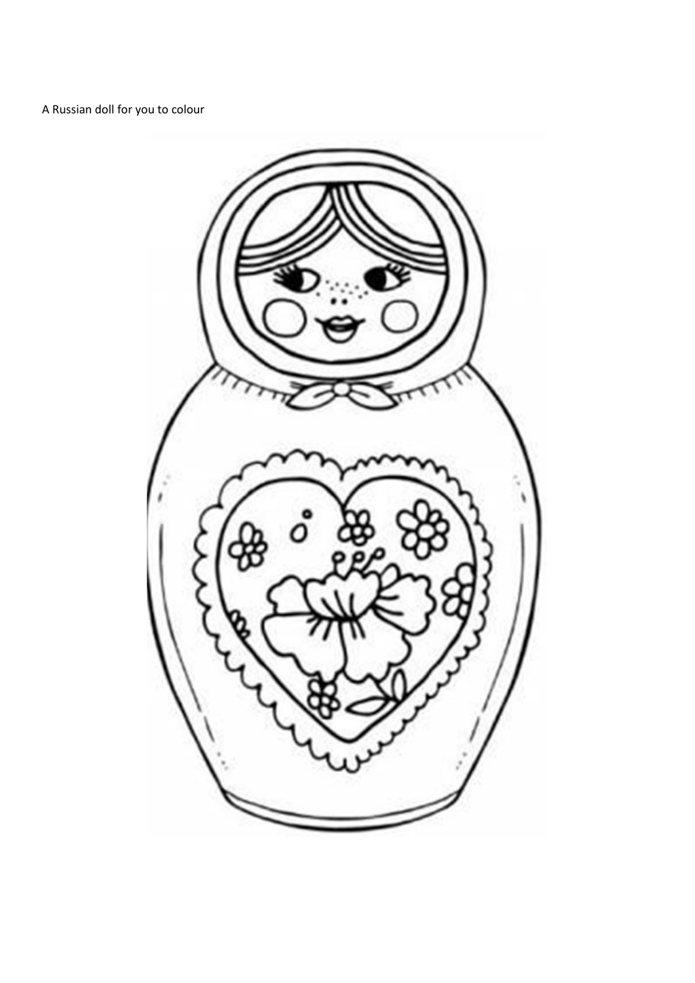A Russian doll for you to colour

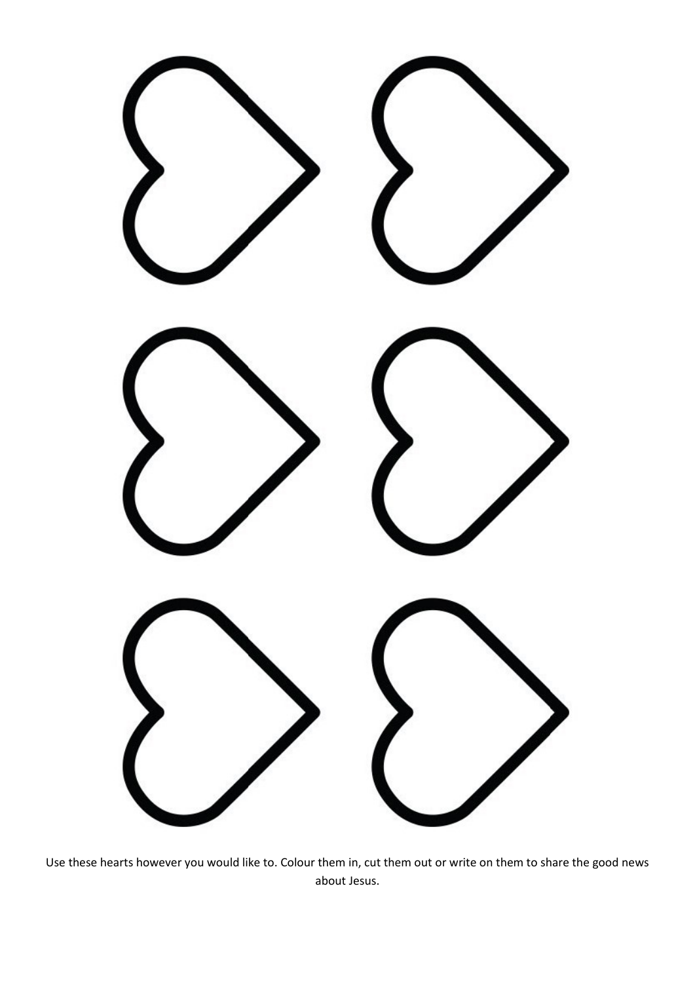

Use these hearts however you would like to. Colour them in, cut them out or write on them to share the good news about Jesus.